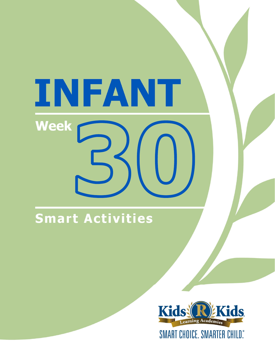# INFANT **Week**

### Smart Activities

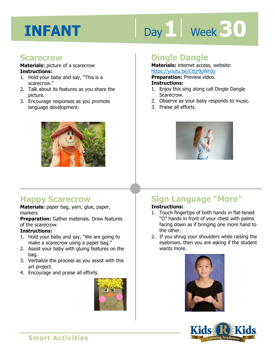# Day 1 **Week 30**

#### **Scarecrow**

#### **Materials:** picture of a scarecrow **Instructions:**

- 1. Hold your baby and say, "This is a scarecrow."
- 2. Talk about its features as you share the picture.
- 3. Encourage responses as you promote language development.



#### **Happy Scarecrow**

**Materials:** paper bag, yarn, glue, paper, markers

**Preparation:** Gather materials. Draw features of the scarecrow.

#### **Instructions:**

- 1. Hold your baby and say, "We are going to make a scarecrow using a paper bag."
- 2. Assist your baby with gluing features on the bag.
- 3. Verbalize the process as you assist with this art project.
- 4. Encourage and praise all efforts.



#### **Dingle Dangle**

**Materials:** internet access, website: https://youtu.be/Cttjr9pWr0o

**Preparation:** Preview video.

#### **Instructions:**

- <u>IRtps.//youtu.be/cttpleywidd</u><br>**Preparation:** Preview video.<br>**Instructions:**<br>1. Enjoy this sing along call Dingle Dangle Scarecrow.
- 2. Observe as your baby responds to music.
- 3. Praise all efforts.



### **Sign Language "More"**

#### **Instructions:**

- 1. Touch fingertips of both hands in flat-tened "O" hands in front of your chest with palms facing down as if bringing one more hand to the other.
- 2. If you shrug your shoulders while raising the eyebrows, then you are asking if the student wants more.





**Smart Activities**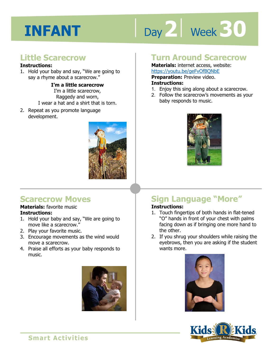# Day 2 **Week 30**

#### **Little Scarecrow**

#### **Instructions:**

1. Hold your baby and say, "We are going to say a rhyme about a scarecrow."

**I'm a little scarecrow** 

I'm a little scarecrow, Raggedy and worn, I wear a hat and a shirt that is torn.

2. Repeat as you promote language development.



#### **Scarecrow Moves**

#### **Materials:** favorite music **Instructions:**

- 1. Hold your baby and say, "We are going to move like a scarecrow."
- 2. Play your favorite music.
- 3. Encourage movements as the wind would move a scarecrow.
- 4. Praise all efforts as your baby responds to music.



#### **Turn Around Scarecrow**

**Materials:** internet access, website: https://youtu.be/geFvOfBQNbE

**Preparation:** Preview video.

#### **Instructions:**

- 1. Enjoy this sing along about a scarecrow.
- 2. Follow the scarecrow's movements as your baby responds to music.



#### **Sign Language "More" Instructions:**

#### 1. Touch fingertips of both hands in flat-tened "O" hands in front of your chest with palms facing down as if bringing one more hand to the other.

2. If you shrug your shoulders while raising the eyebrows, then you are asking if the student wants more.





**Smart Activities**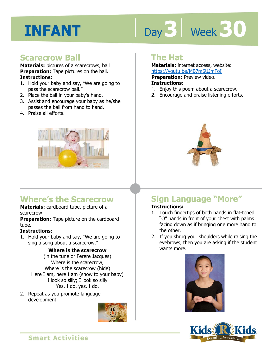# Day 3 | Week 3 0

#### **Scarecrow Ball**

**Materials:** pictures of a scarecrows, ball **Preparation:** Tape pictures on the ball. **Instructions:** 

- 1. Hold your baby and say, "We are going to pass the scarecrow ball."
- 2. Place the ball in your baby's hand.
- 3. Assist and encourage your baby as he/she passes the ball from hand to hand.
- 4. Praise all efforts.



#### **Where's the Scarecrow**

#### **Materials:** cardboard tube, picture of a scarecrow

**Preparation:** Tape picture on the cardboard tube.

#### **Instructions:**

1. Hold your baby and say, "We are going to sing a song about a scarecrow."

#### **Where is the scarecrow**

(in the tune or Ferere Jacques) Where is the scarecrow, Where is the scarecrow (hide) Here I am, here I am (show to your baby) I look so silly; I look so silly Yes, I do, yes, I do.

2. Repeat as you promote language development.



#### **The Hat**

**Materials:** internet access, website: https://youtu.be/MB7m6UJmFoI

**Preparation:** Preview video.

#### **Instructions:**

- **1 4**  1. Enjoy this poem about a scarecrow.
- 2. Encourage and praise listening efforts.



### **Sign Language "More"**

#### **Instructions:**

- 1. Touch fingertips of both hands in flat-tened "O" hands in front of your chest with palms facing down as if bringing one more hand to the other.
- 2. If you shrug your shoulders while raising the eyebrows, then you are asking if the student wants more.



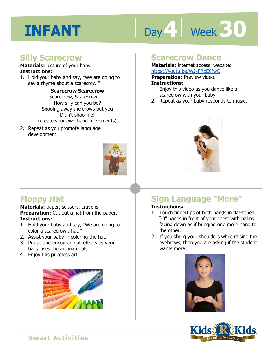# Day 4 **Week 30**

#### **Silly Scarecrow**

#### **Materials:** picture of your baby **Instructions:**

1. Hold your baby and say, "We are going to say a rhyme about a scarecrow."

> **Scarecrow Scarecrow**  Scarecrow, Scarecrow How silly can you be? Shooing away the crows but you Didn't shoo me! (create your own hand movements)

2. Repeat as you promote language development.



#### **Scarecrow Dance**

**Materials:** internet access, website: https://youtu.be/WJxFRbE0fwQ **Preparation:** Preview video.

#### **Instructions:**

- **IRCOS.//YOUGLI.DE/WAT RDLOTWO**<br>**Preparation:** Preview video.<br>**Instructions:**<br>1. Enjoy this video as you dance like a scarecrow with your baby.
- 2. Repeat as your baby responds to music.



#### **Floppy Hat**

**Materials:** paper, scissors, crayons **Preparation:** Cut out a hat from the paper. **Instructions:** 

- 1. Hold your baby and say, "We are going to color a scarecrow's hat."
- 2. Assist your baby in coloring the hat.
- 3. Praise and encourage all efforts as your baby uses the art materials.
- 4. Enjoy this priceless art.



#### **Sign Language "More" Instructions:**

#### 1. Touch fingertips of both hands in flat-tened "O" hands in front of your chest with palms facing down as if bringing one more hand to the other.

2. If you shrug your shoulders while raising the eyebrows, then you are asking if the student wants more.